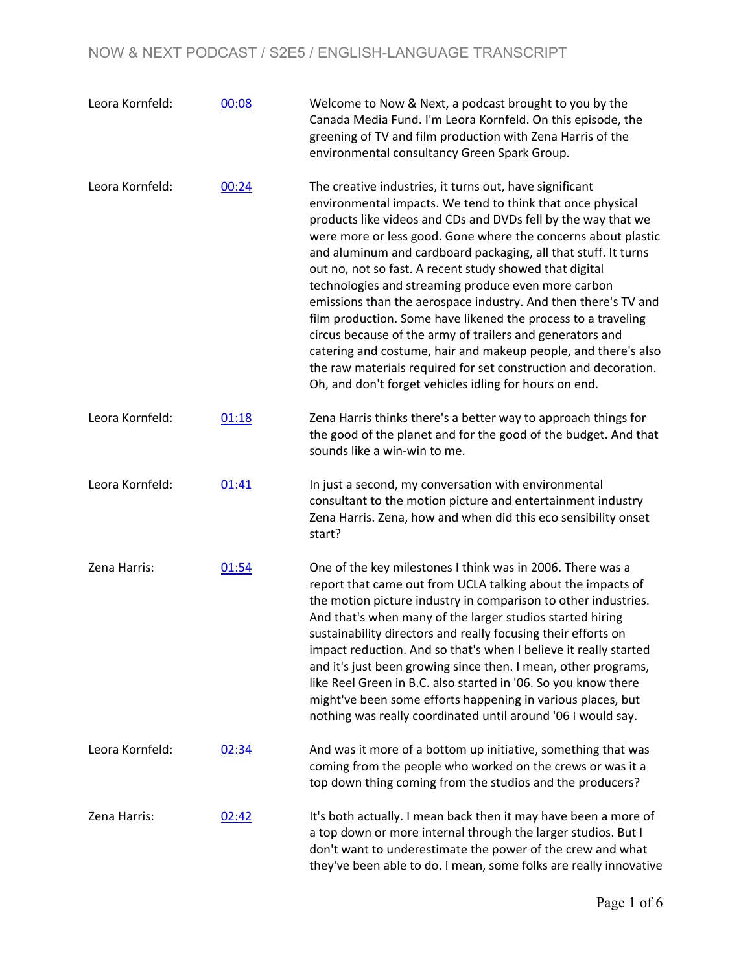| Leora Kornfeld: | 00:08 | Welcome to Now & Next, a podcast brought to you by the<br>Canada Media Fund. I'm Leora Kornfeld. On this episode, the<br>greening of TV and film production with Zena Harris of the<br>environmental consultancy Green Spark Group.                                                                                                                                                                                                                                                                                                                                                                                                                                                                                                                                                                                                        |
|-----------------|-------|--------------------------------------------------------------------------------------------------------------------------------------------------------------------------------------------------------------------------------------------------------------------------------------------------------------------------------------------------------------------------------------------------------------------------------------------------------------------------------------------------------------------------------------------------------------------------------------------------------------------------------------------------------------------------------------------------------------------------------------------------------------------------------------------------------------------------------------------|
| Leora Kornfeld: | 00:24 | The creative industries, it turns out, have significant<br>environmental impacts. We tend to think that once physical<br>products like videos and CDs and DVDs fell by the way that we<br>were more or less good. Gone where the concerns about plastic<br>and aluminum and cardboard packaging, all that stuff. It turns<br>out no, not so fast. A recent study showed that digital<br>technologies and streaming produce even more carbon<br>emissions than the aerospace industry. And then there's TV and<br>film production. Some have likened the process to a traveling<br>circus because of the army of trailers and generators and<br>catering and costume, hair and makeup people, and there's also<br>the raw materials required for set construction and decoration.<br>Oh, and don't forget vehicles idling for hours on end. |
| Leora Kornfeld: | 01:18 | Zena Harris thinks there's a better way to approach things for<br>the good of the planet and for the good of the budget. And that<br>sounds like a win-win to me.                                                                                                                                                                                                                                                                                                                                                                                                                                                                                                                                                                                                                                                                          |
| Leora Kornfeld: | 01:41 | In just a second, my conversation with environmental<br>consultant to the motion picture and entertainment industry<br>Zena Harris. Zena, how and when did this eco sensibility onset<br>start?                                                                                                                                                                                                                                                                                                                                                                                                                                                                                                                                                                                                                                            |
| Zena Harris:    | 01:54 | One of the key milestones I think was in 2006. There was a<br>report that came out from UCLA talking about the impacts of<br>the motion picture industry in comparison to other industries.<br>And that's when many of the larger studios started hiring<br>sustainability directors and really focusing their efforts on<br>impact reduction. And so that's when I believe it really started<br>and it's just been growing since then. I mean, other programs,<br>like Reel Green in B.C. also started in '06. So you know there<br>might've been some efforts happening in various places, but<br>nothing was really coordinated until around '06 I would say.                                                                                                                                                                           |
| Leora Kornfeld: | 02:34 | And was it more of a bottom up initiative, something that was<br>coming from the people who worked on the crews or was it a<br>top down thing coming from the studios and the producers?                                                                                                                                                                                                                                                                                                                                                                                                                                                                                                                                                                                                                                                   |
| Zena Harris:    | 02:42 | It's both actually. I mean back then it may have been a more of<br>a top down or more internal through the larger studios. But I<br>don't want to underestimate the power of the crew and what<br>they've been able to do. I mean, some folks are really innovative                                                                                                                                                                                                                                                                                                                                                                                                                                                                                                                                                                        |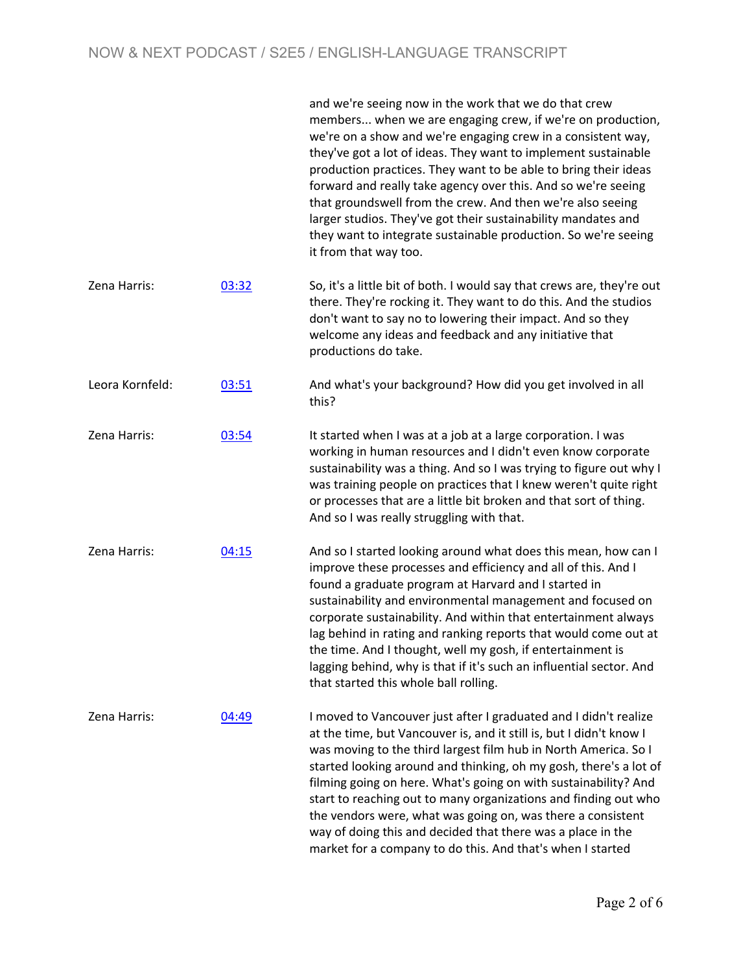|                 |       | and we're seeing now in the work that we do that crew<br>members when we are engaging crew, if we're on production,<br>we're on a show and we're engaging crew in a consistent way,<br>they've got a lot of ideas. They want to implement sustainable<br>production practices. They want to be able to bring their ideas<br>forward and really take agency over this. And so we're seeing<br>that groundswell from the crew. And then we're also seeing<br>larger studios. They've got their sustainability mandates and<br>they want to integrate sustainable production. So we're seeing<br>it from that way too. |
|-----------------|-------|---------------------------------------------------------------------------------------------------------------------------------------------------------------------------------------------------------------------------------------------------------------------------------------------------------------------------------------------------------------------------------------------------------------------------------------------------------------------------------------------------------------------------------------------------------------------------------------------------------------------|
| Zena Harris:    | 03:32 | So, it's a little bit of both. I would say that crews are, they're out<br>there. They're rocking it. They want to do this. And the studios<br>don't want to say no to lowering their impact. And so they<br>welcome any ideas and feedback and any initiative that<br>productions do take.                                                                                                                                                                                                                                                                                                                          |
| Leora Kornfeld: | 03:51 | And what's your background? How did you get involved in all<br>this?                                                                                                                                                                                                                                                                                                                                                                                                                                                                                                                                                |
| Zena Harris:    | 03:54 | It started when I was at a job at a large corporation. I was<br>working in human resources and I didn't even know corporate<br>sustainability was a thing. And so I was trying to figure out why I<br>was training people on practices that I knew weren't quite right<br>or processes that are a little bit broken and that sort of thing.<br>And so I was really struggling with that.                                                                                                                                                                                                                            |
| Zena Harris:    | 04:15 | And so I started looking around what does this mean, how can I<br>improve these processes and efficiency and all of this. And I<br>found a graduate program at Harvard and I started in<br>sustainability and environmental management and focused on<br>corporate sustainability. And within that entertainment always<br>lag behind in rating and ranking reports that would come out at<br>the time. And I thought, well my gosh, if entertainment is<br>lagging behind, why is that if it's such an influential sector. And<br>that started this whole ball rolling.                                            |
| Zena Harris:    | 04:49 | I moved to Vancouver just after I graduated and I didn't realize<br>at the time, but Vancouver is, and it still is, but I didn't know I<br>was moving to the third largest film hub in North America. So I<br>started looking around and thinking, oh my gosh, there's a lot of<br>filming going on here. What's going on with sustainability? And<br>start to reaching out to many organizations and finding out who<br>the vendors were, what was going on, was there a consistent<br>way of doing this and decided that there was a place in the<br>market for a company to do this. And that's when I started   |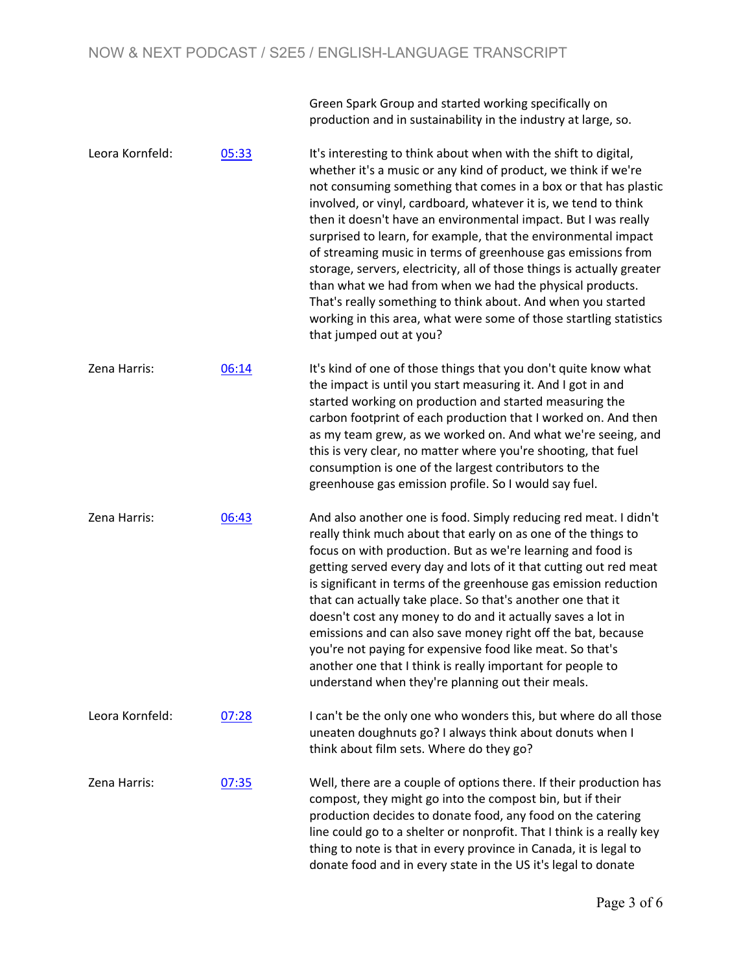Green Spark Group and started working specifically on production and in sustainability in the industry at large, so.

donate food and in every state in the US it's legal to donate

Leora Kornfeld: 05:33 It's interesting to think about when with the shift to digital, whether it's a music or any kind of product, we think if we're not consuming something that comes in a box or that has plastic involved, or vinyl, cardboard, whatever it is, we tend to think then it doesn't have an environmental impact. But I was really surprised to learn, for example, that the environmental impact of streaming music in terms of greenhouse gas emissions from storage, servers, electricity, all of those things is actually greater than what we had from when we had the physical products. That's really something to think about. And when you started working in this area, what were some of those startling statistics that jumped out at you? Zena Harris: 06:14 It's kind of one of those things that you don't quite know what the impact is until you start measuring it. And I got in and started working on production and started measuring the carbon footprint of each production that I worked on. And then as my team grew, as we worked on. And what we're seeing, and this is very clear, no matter where you're shooting, that fuel consumption is one of the largest contributors to the greenhouse gas emission profile. So I would say fuel. Zena Harris: 06:43 And also another one is food. Simply reducing red meat. I didn't really think much about that early on as one of the things to focus on with production. But as we're learning and food is getting served every day and lots of it that cutting out red meat is significant in terms of the greenhouse gas emission reduction that can actually take place. So that's another one that it doesn't cost any money to do and it actually saves a lot in emissions and can also save money right off the bat, because you're not paying for expensive food like meat. So that's another one that I think is really important for people to understand when they're planning out their meals. Leora Kornfeld: 07:28 I can't be the only one who wonders this, but where do all those uneaten doughnuts go? I always think about donuts when I think about film sets. Where do they go? Zena Harris:  $07:35$  Well, there are a couple of options there. If their production has compost, they might go into the compost bin, but if their production decides to donate food, any food on the catering line could go to a shelter or nonprofit. That I think is a really key thing to note is that in every province in Canada, it is legal to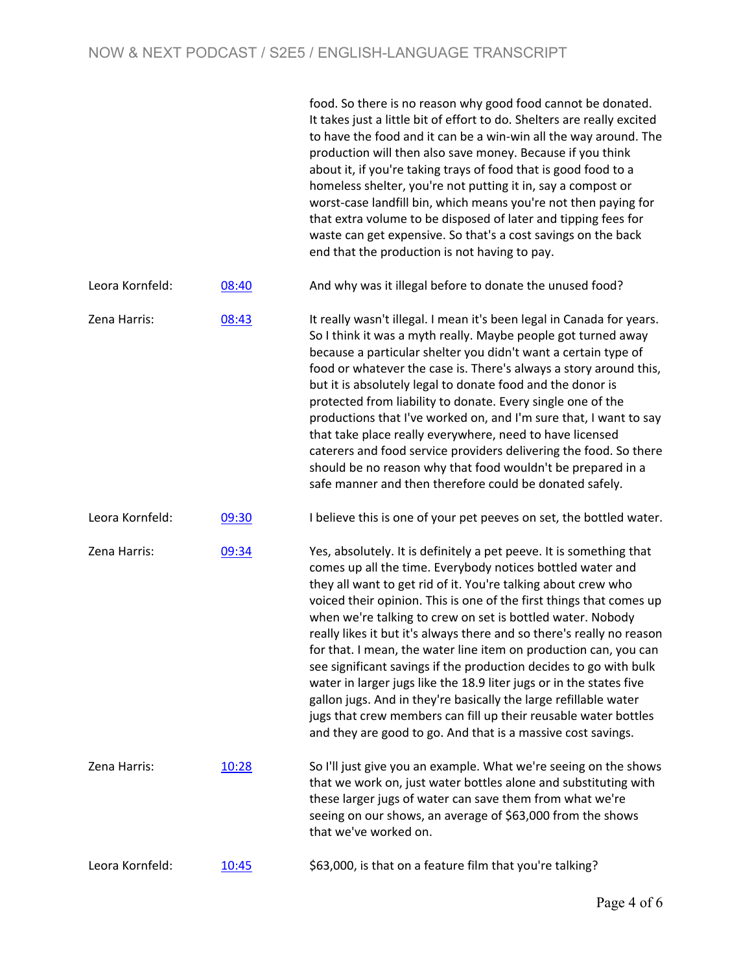|                 |       | food. So there is no reason why good food cannot be donated.<br>It takes just a little bit of effort to do. Shelters are really excited<br>to have the food and it can be a win-win all the way around. The<br>production will then also save money. Because if you think<br>about it, if you're taking trays of food that is good food to a<br>homeless shelter, you're not putting it in, say a compost or<br>worst-case landfill bin, which means you're not then paying for<br>that extra volume to be disposed of later and tipping fees for<br>waste can get expensive. So that's a cost savings on the back<br>end that the production is not having to pay.                                                                                                                                                                     |
|-----------------|-------|-----------------------------------------------------------------------------------------------------------------------------------------------------------------------------------------------------------------------------------------------------------------------------------------------------------------------------------------------------------------------------------------------------------------------------------------------------------------------------------------------------------------------------------------------------------------------------------------------------------------------------------------------------------------------------------------------------------------------------------------------------------------------------------------------------------------------------------------|
| Leora Kornfeld: | 08:40 | And why was it illegal before to donate the unused food?                                                                                                                                                                                                                                                                                                                                                                                                                                                                                                                                                                                                                                                                                                                                                                                |
| Zena Harris:    | 08:43 | It really wasn't illegal. I mean it's been legal in Canada for years.<br>So I think it was a myth really. Maybe people got turned away<br>because a particular shelter you didn't want a certain type of<br>food or whatever the case is. There's always a story around this,<br>but it is absolutely legal to donate food and the donor is<br>protected from liability to donate. Every single one of the<br>productions that I've worked on, and I'm sure that, I want to say<br>that take place really everywhere, need to have licensed<br>caterers and food service providers delivering the food. So there<br>should be no reason why that food wouldn't be prepared in a<br>safe manner and then therefore could be donated safely.                                                                                              |
| Leora Kornfeld: | 09:30 | I believe this is one of your pet peeves on set, the bottled water.                                                                                                                                                                                                                                                                                                                                                                                                                                                                                                                                                                                                                                                                                                                                                                     |
| Zena Harris:    | 09:34 | Yes, absolutely. It is definitely a pet peeve. It is something that<br>comes up all the time. Everybody notices bottled water and<br>they all want to get rid of it. You're talking about crew who<br>voiced their opinion. This is one of the first things that comes up<br>when we're talking to crew on set is bottled water. Nobody<br>really likes it but it's always there and so there's really no reason<br>for that. I mean, the water line item on production can, you can<br>see significant savings if the production decides to go with bulk<br>water in larger jugs like the 18.9 liter jugs or in the states five<br>gallon jugs. And in they're basically the large refillable water<br>jugs that crew members can fill up their reusable water bottles<br>and they are good to go. And that is a massive cost savings. |
| Zena Harris:    | 10:28 | So I'll just give you an example. What we're seeing on the shows<br>that we work on, just water bottles alone and substituting with<br>these larger jugs of water can save them from what we're<br>seeing on our shows, an average of \$63,000 from the shows<br>that we've worked on.                                                                                                                                                                                                                                                                                                                                                                                                                                                                                                                                                  |
| Leora Kornfeld: | 10:45 | \$63,000, is that on a feature film that you're talking?                                                                                                                                                                                                                                                                                                                                                                                                                                                                                                                                                                                                                                                                                                                                                                                |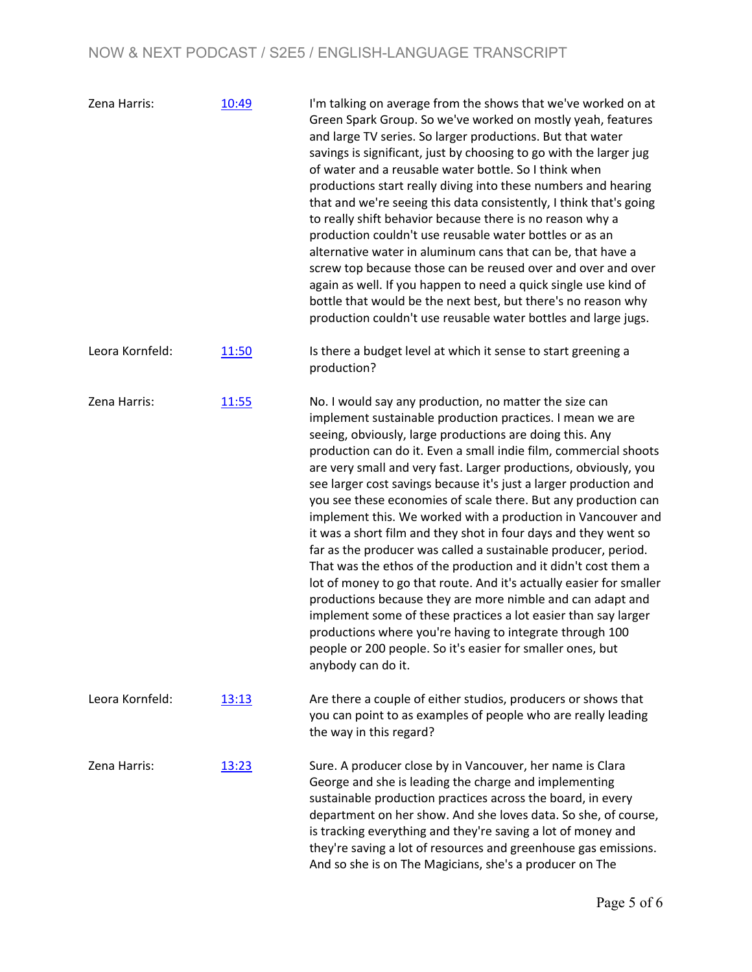| Zena Harris:    | 10:49 | I'm talking on average from the shows that we've worked on at<br>Green Spark Group. So we've worked on mostly yeah, features<br>and large TV series. So larger productions. But that water<br>savings is significant, just by choosing to go with the larger jug<br>of water and a reusable water bottle. So I think when<br>productions start really diving into these numbers and hearing<br>that and we're seeing this data consistently, I think that's going<br>to really shift behavior because there is no reason why a<br>production couldn't use reusable water bottles or as an<br>alternative water in aluminum cans that can be, that have a<br>screw top because those can be reused over and over and over<br>again as well. If you happen to need a quick single use kind of<br>bottle that would be the next best, but there's no reason why<br>production couldn't use reusable water bottles and large jugs.                                                                                                                                                               |
|-----------------|-------|----------------------------------------------------------------------------------------------------------------------------------------------------------------------------------------------------------------------------------------------------------------------------------------------------------------------------------------------------------------------------------------------------------------------------------------------------------------------------------------------------------------------------------------------------------------------------------------------------------------------------------------------------------------------------------------------------------------------------------------------------------------------------------------------------------------------------------------------------------------------------------------------------------------------------------------------------------------------------------------------------------------------------------------------------------------------------------------------|
| Leora Kornfeld: | 11:50 | Is there a budget level at which it sense to start greening a<br>production?                                                                                                                                                                                                                                                                                                                                                                                                                                                                                                                                                                                                                                                                                                                                                                                                                                                                                                                                                                                                                 |
| Zena Harris:    | 11:55 | No. I would say any production, no matter the size can<br>implement sustainable production practices. I mean we are<br>seeing, obviously, large productions are doing this. Any<br>production can do it. Even a small indie film, commercial shoots<br>are very small and very fast. Larger productions, obviously, you<br>see larger cost savings because it's just a larger production and<br>you see these economies of scale there. But any production can<br>implement this. We worked with a production in Vancouver and<br>it was a short film and they shot in four days and they went so<br>far as the producer was called a sustainable producer, period.<br>That was the ethos of the production and it didn't cost them a<br>lot of money to go that route. And it's actually easier for smaller<br>productions because they are more nimble and can adapt and<br>implement some of these practices a lot easier than say larger<br>productions where you're having to integrate through 100<br>people or 200 people. So it's easier for smaller ones, but<br>anybody can do it. |
| Leora Kornfeld: | 13:13 | Are there a couple of either studios, producers or shows that<br>you can point to as examples of people who are really leading<br>the way in this regard?                                                                                                                                                                                                                                                                                                                                                                                                                                                                                                                                                                                                                                                                                                                                                                                                                                                                                                                                    |
| Zena Harris:    | 13:23 | Sure. A producer close by in Vancouver, her name is Clara<br>George and she is leading the charge and implementing<br>sustainable production practices across the board, in every<br>department on her show. And she loves data. So she, of course,<br>is tracking everything and they're saving a lot of money and<br>they're saving a lot of resources and greenhouse gas emissions.<br>And so she is on The Magicians, she's a producer on The                                                                                                                                                                                                                                                                                                                                                                                                                                                                                                                                                                                                                                            |